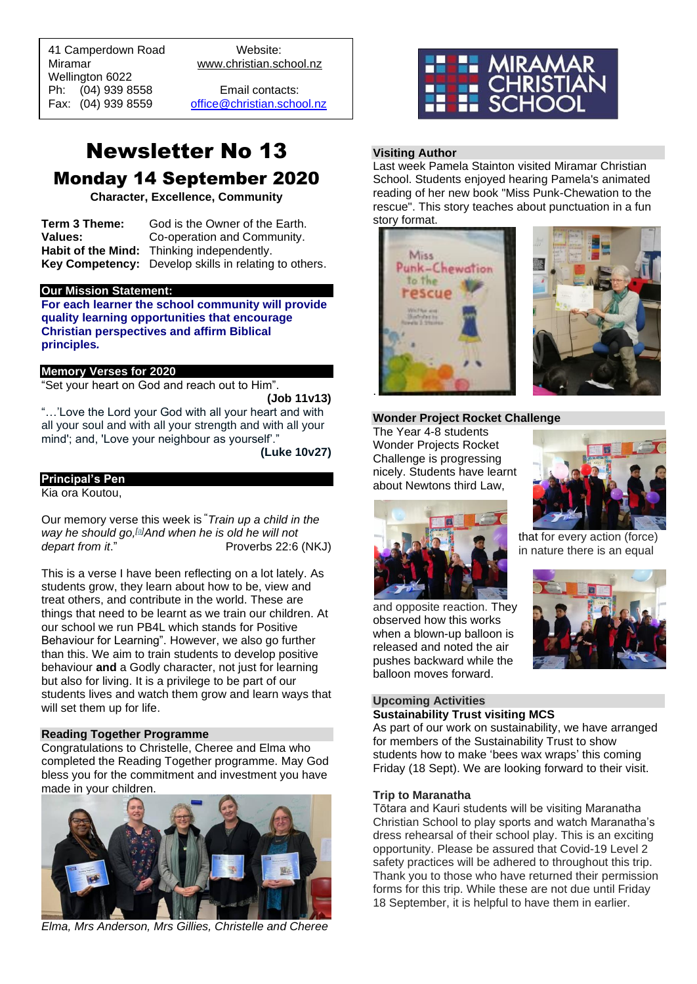41 Camperdown Road Website: Miramar www.christian.school.nz Wellington 6022 Ph: (04) 939 8558 Email contacts:

 $\overline{a}$ 

Fax: (04) 939 8559 [office@christian.school.nz](mailto:office@christian.school.nz)

# Newsletter No 13 Monday 14 September 2020

**Character, Excellence, Community**

**Term 3 Theme:** God is the Owner of the Earth. **Values:** Co-operation and Community. **Habit of the Mind:** Thinking independently. **Key Competency:** Develop skills in relating to others.

#### **Our Mission Statement:**

**For each learner the school community will provide quality learning opportunities that encourage Christian perspectives and affirm Biblical principles***.*

### **Memory Verses for 2020**

"Set your heart on God and reach out to Him".

**(Job 11v13)**

"…'Love the Lord your God with all your heart and with all your soul and with all your strength and with all your mind'; and, 'Love your neighbour as yourself'."

**(Luke 10v27)**

### **Principal's Pen**

Kia ora Koutou,

Our memory verse this week is **"***Train up a child in the way he should go,[\[a\]](https://www.biblegateway.com/passage/?search=Proverbs%2022%3A6&version=NKJV#fen-NKJV-17022a)And when he is old he will not depart from it.*" Proverbs 22:6 (NKJ)

This is a verse I have been reflecting on a lot lately. As students grow, they learn about how to be, view and treat others, and contribute in the world. These are things that need to be learnt as we train our children. At our school we run PB4L which stands for Positive Behaviour for Learning". However, we also go further than this. We aim to train students to develop positive behaviour **and** a Godly character, not just for learning but also for living. It is a privilege to be part of our students lives and watch them grow and learn ways that will set them up for life.

### **Reading Together Programme**

Congratulations to Christelle, Cheree and Elma who completed the Reading Together programme. May God bless you for the commitment and investment you have made in your children.



*Elma, Mrs Anderson, Mrs Gillies, Christelle and Cheree*



### **Visiting Author**

Last week Pamela Stainton visited Miramar Christian School. Students enjoyed hearing Pamela's animated reading of her new book "Miss Punk-Chewation to the rescue". This story teaches about punctuation in a fun story format.





### **Wonder Project Rocket Challenge**

The Year 4-8 students Wonder Projects Rocket Challenge is progressing nicely. Students have learnt about Newtons third Law,



that for every action (force) in nature there is an equal



and opposite reaction. They observed how this works when a blown-up balloon is released and noted the air pushes backward while the balloon moves forward.

### **Upcoming Activities**

## **Sustainability Trust visiting MCS**

As part of our work on sustainability, we have arranged for members of the Sustainability Trust to show students how to make 'bees wax wraps' this coming Friday (18 Sept). We are looking forward to their visit.

#### **Trip to Maranatha**

Tōtara and Kauri students will be visiting Maranatha Christian School to play sports and watch Maranatha's dress rehearsal of their school play. This is an exciting opportunity. Please be assured that Covid-19 Level 2 safety practices will be adhered to throughout this trip. Thank you to those who have returned their permission forms for this trip. While these are not due until Friday 18 September, it is helpful to have them in earlier.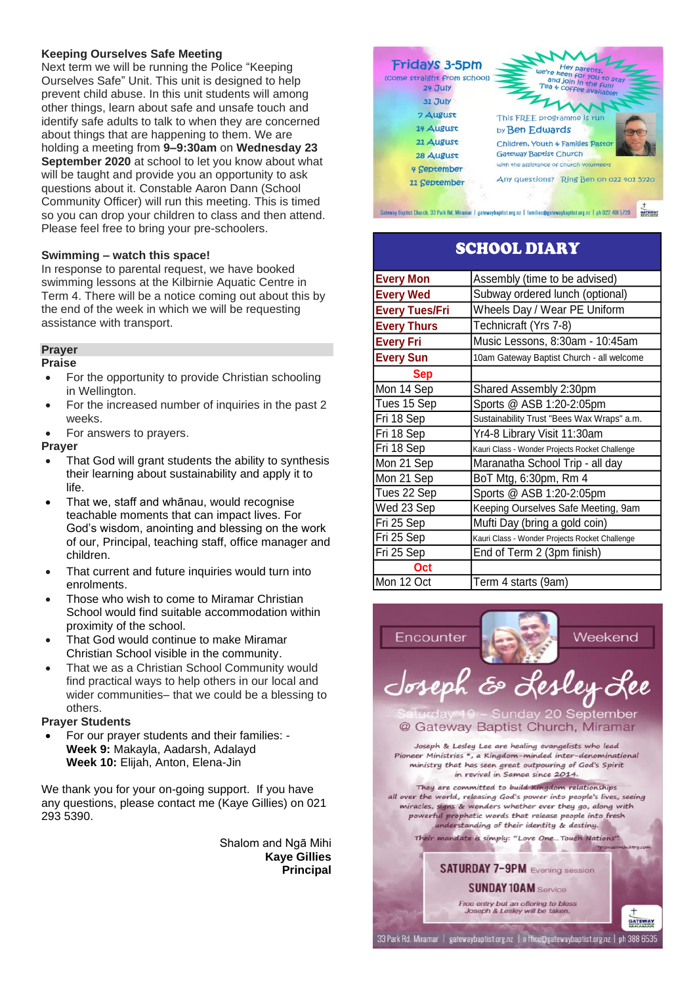### **Keeping Ourselves Safe Meeting**

Next term we will be running the Police "Keeping Ourselves Safe" Unit. This unit is designed to help prevent child abuse. In this unit students will among other things, learn about safe and unsafe touch and identify safe adults to talk to when they are concerned about things that are happening to them. We are holding a meeting from **9–9:30am** on **Wednesday 23 September 2020** at school to let you know about what will be taught and provide you an opportunity to ask questions about it. Constable Aaron Dann (School Community Officer) will run this meeting. This is timed so you can drop your children to class and then attend. Please feel free to bring your pre-schoolers.

### **Swimming – watch this space!**

In response to parental request, we have booked swimming lessons at the Kilbirnie Aquatic Centre in Term 4. There will be a notice coming out about this by the end of the week in which we will be requesting assistance with transport.

### **Prayer**

### **Praise**

- For the opportunity to provide Christian schooling in Wellington.
- For the increased number of inquiries in the past 2 weeks.
- For answers to prayers.

### **Prayer**

- That God will grant students the ability to synthesis their learning about sustainability and apply it to life.
- That we, staff and whānau, would recognise teachable moments that can impact lives. For God's wisdom, anointing and blessing on the work of our, Principal, teaching staff, office manager and children.
- That current and future inquiries would turn into enrolments.
- Those who wish to come to Miramar Christian School would find suitable accommodation within proximity of the school.
- That God would continue to make Miramar Christian School visible in the community.
- That we as a Christian School Community would find practical ways to help others in our local and wider communities– that we could be a blessing to others.

### **Prayer Students**

• For our prayer students and their families: - **Week 9:** Makayla, Aadarsh, Adalayd **Week 10:** Elijah, Anton, Elena-Jin

We thank you for your on-going support. If you have any questions, please contact me (Kaye Gillies) on 021 293 5390.

> Shalom and Ngā Mihi **Kaye Gillies Principal**



## SCHOOL DIARY

| <b>Every Mon</b>      | Assembly (time to be advised)                  |
|-----------------------|------------------------------------------------|
| <b>Every Wed</b>      | Subway ordered lunch (optional)                |
| <b>Every Tues/Fri</b> | Wheels Day / Wear PE Uniform                   |
| <b>Every Thurs</b>    | Technicraft (Yrs 7-8)                          |
| <b>Every Fri</b>      | Music Lessons, 8:30am - 10:45am                |
| <b>Every Sun</b>      | 10am Gateway Baptist Church - all welcome      |
| <b>Sep</b>            |                                                |
| Mon 14 Sep            | Shared Assembly 2:30pm                         |
| Tues 15 Sep           | Sports @ ASB 1:20-2:05pm                       |
| Fri 18 Sep            | Sustainability Trust "Bees Wax Wraps" a.m.     |
| Fri 18 Sep            | Yr4-8 Library Visit 11:30am                    |
| Fri 18 Sep            | Kauri Class - Wonder Projects Rocket Challenge |
| Mon 21 Sep            | Maranatha School Trip - all day                |
| Mon 21 Sep            | BoT Mtg, 6:30pm, Rm 4                          |
| Tues 22 Sep           | Sports @ ASB 1:20-2:05pm                       |
| Wed 23 Sep            | Keeping Ourselves Safe Meeting, 9am            |
| Fri 25 Sep            | Mufti Day (bring a gold coin)                  |
| Fri 25 Sep            | Kauri Class - Wonder Projects Rocket Challenge |
| Fri 25 Sep            | End of Term 2 (3pm finish)                     |
| Oct                   |                                                |
| Mon 12 Oct            | Term 4 starts (9am)                            |

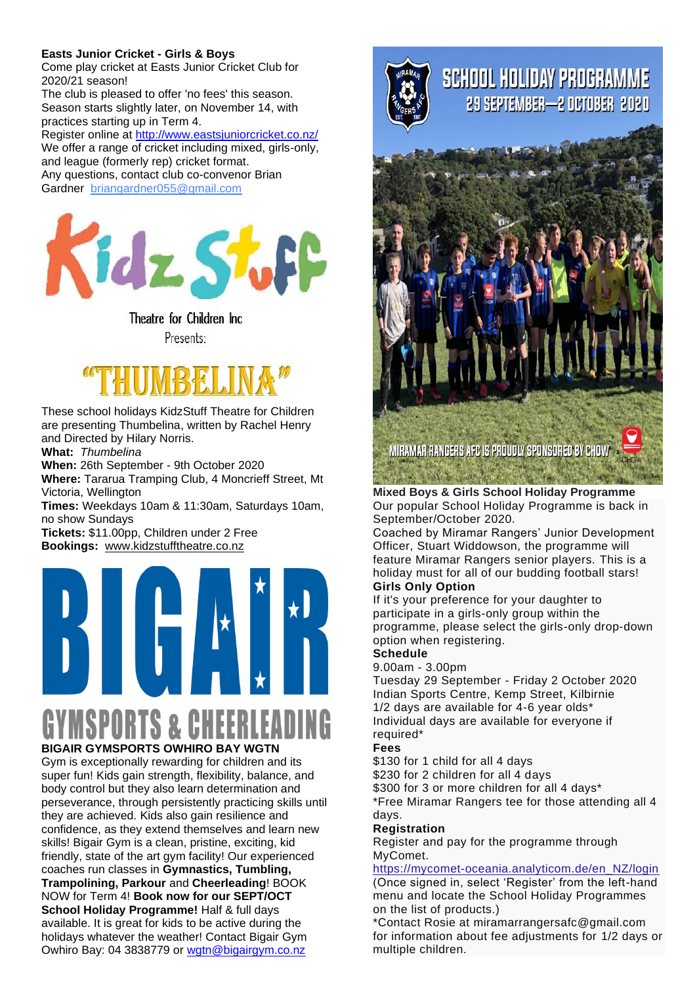### **Easts Junior Cricket - Girls & Boys**

Come play cricket at Easts Junior Cricket Club for 2020/21 season!

The club is pleased to offer 'no fees' this season. Season starts slightly later, on November 14, with practices starting up in Term 4.

Register online at <http://www.eastsjuniorcricket.co.nz/> We offer a range of cricket including mixed, girls-only, and league (formerly rep) cricket format. Any questions, contact club co-convenor Brian Gardner [briangardner055@gmail.com](mailto:briangardner055@gmail.com)



Theatre for Children Inc Presents:



These school holidays KidzStuff Theatre for Children are presenting Thumbelina, written by Rachel Henry and Directed by Hilary Norris.

**What:** *Thumbelina*

**When:** 26th September - 9th October 2020

**Where:** Tararua Tramping Club, 4 Moncrieff Street, Mt Victoria, Wellington

**Times:** Weekdays 10am & 11:30am, Saturdays 10am, no show Sundays

**Tickets:** \$11.00pp, Children under 2 Free **Bookings:** [www.](http://www.kidzstufftheatre.co.nz/)[kidzstufftheatre.co.nz](http://kidzstufftheatre.co.nz/)



# **S&CHEER BIGAIR GYMSPORTS OWHIRO BAY WGTN**

Gym is exceptionally rewarding for children and its super fun! Kids gain strength, flexibility, balance, and body control but they also learn determination and perseverance, through persistently practicing skills until they are achieved. Kids also gain resilience and confidence, as they extend themselves and learn new skills! Bigair Gym is a clean, pristine, exciting, kid friendly, state of the art gym facility! Our experienced coaches run classes in **Gymnastics, Tumbling, Trampolining, Parkour** and **Cheerleading**! BOOK NOW for Term 4! **Book now for our SEPT/OCT School Holiday Programme!** Half & full days available. It is great for kids to be active during the holidays whatever the weather! Contact Bigair Gym Owhiro Bay: 04 3838779 or [wgtn@bigairgym.co.nz](mailto:wgtn@bigairgym.co.nz)



# **SCHOOL HOLIDAY PROGRAMME** 29 SEPTEMBER-2 OCTOBER 2020



**Mixed Boys & Girls School Holiday Programme** Our popular School Holiday Programme is back in September/October 2020.

Coached by Miramar Rangers' Junior Development Officer, Stuart Widdowson, the programme will feature Miramar Rangers senior players. This is a holiday must for all of our budding football stars! **Girls Only Option**

### If it's your preference for your daughter to participate in a girls-only group within the programme, please select the girls-only drop-down option when registering.

### **Schedule**

9.00am - 3.00pm Tuesday 29 September - Friday 2 October 2020 Indian Sports Centre, Kemp Street, Kilbirnie 1/2 days are available for 4-6 year olds\* Individual days are available for everyone if required\*

### **Fees**

\$130 for 1 child for all 4 days

\$230 for 2 children for all 4 days

\$300 for 3 or more children for all 4 days\*

\*Free Miramar Rangers tee for those attending all 4 days.

### **Registration**

Register and pay for the programme through MyComet.

[https://mycomet-oceania.analyticom.de/en\\_NZ/login](https://mycomet-oceania.analyticom.de/en_NZ/login) (Once signed in, select 'Register' from the left-hand menu and locate the School Holiday Programmes on the list of products.)

\*Contact Rosie at miramarrangersafc@gmail.com for information about fee adjustments for 1/2 days or multiple children.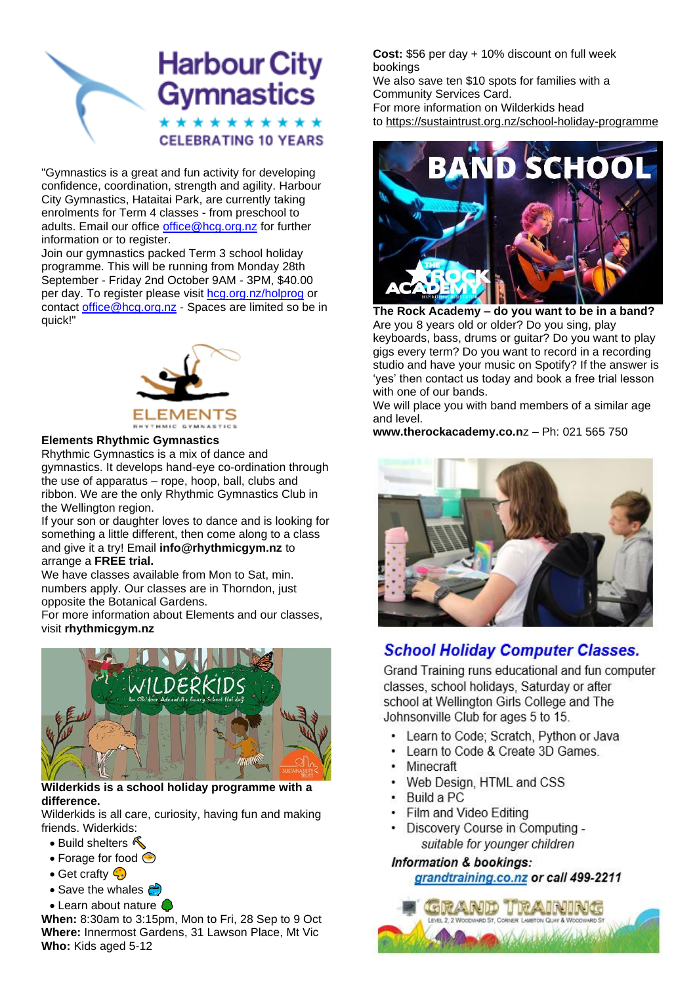# **Harbour City** Gymnastics \* \* \* \* \* \* \* \* \* **CELEBRATING 10 YEARS**

"Gymnastics is a great and fun activity for developing confidence, coordination, strength and agility. Harbour City Gymnastics, Hataitai Park, are currently taking enrolments for Term 4 classes - from preschool to adults. Email our office [office@hcg.org.nz](mailto:office@hcg.org.nz) for further information or to register.

Join our gymnastics packed Term 3 school holiday programme. This will be running from Monday 28th September - Friday 2nd October 9AM - 3PM, \$40.00 per day. To register please visit [hcg.org.nz/holprog](http://hcg.org.nz/holprog) or contact [office@hcg.org.nz](mailto:office@hcg.org.nz) - Spaces are limited so be in quick!"



### **Elements Rhythmic Gymnastics**

Rhythmic Gymnastics is a mix of dance and gymnastics. It develops hand-eye co-ordination through the use of apparatus – rope, hoop, ball, clubs and ribbon. We are the only Rhythmic Gymnastics Club in the Wellington region.

If your son or daughter loves to dance and is looking for something a little different, then come along to a class and give it a try! Email **info@rhythmicgym.nz** to arrange a **FREE trial.**

We have classes available from Mon to Sat, min. numbers apply. Our classes are in Thorndon, just opposite the Botanical Gardens.

For more information about Elements and our classes, visit **rhythmicgym.nz**



### **Wilderkids is a school holiday programme with a difference.**

Wilderkids is all care, curiosity, having fun and making friends. Widerkids:

- Build shelters  $\sqrt{\phantom{a}}$
- Forage for food  $\textcircled{\small{\circ}}$
- Get crafty  $\bigcirc$
- Save the whales  $\mathbb{P}$
- Learn about nature C

**When:** 8:30am to 3:15pm, Mon to Fri, 28 Sep to 9 Oct **Where:** Innermost Gardens, 31 Lawson Place, Mt Vic **Who:** Kids aged 5-12

**Cost:** \$56 per day + 10% discount on full week bookings

We also save ten \$10 spots for families with a Community Services Card. For more information on Wilderkids head to [https://sustaintrust.org.nz/school-holiday-programme](https://sustaintrust.us16.list-manage.com/track/click?u=e3ea40b79a9c26edd1e13c2bc&id=de8617c207&e=5f83dde082)



**The Rock Academy – do you want to be in a band?** Are you 8 years old or older? Do you sing, play keyboards, bass, drums or guitar? Do you want to play gigs every term? Do you want to record in a recording studio and have your music on Spotify? If the answer is 'yes' then contact us today and book a free trial lesson with one of our bands.

We will place you with band members of a similar age and level.

**www.therockacademy.co.n**z – Ph: 021 565 750



## **School Holiday Computer Classes.**

Grand Training runs educational and fun computer classes, school holidays, Saturday or after school at Wellington Girls College and The Johnsonville Club for ages 5 to 15.

- Learn to Code; Scratch, Python or Java
- Learn to Code & Create 3D Games.
- Minecraft
- Web Design, HTML and CSS
- Build a PC
- Film and Video Editing
- Discovery Course in Computing suitable for younger children

Information & bookings: grandtraining.co.nz or call 499-2211